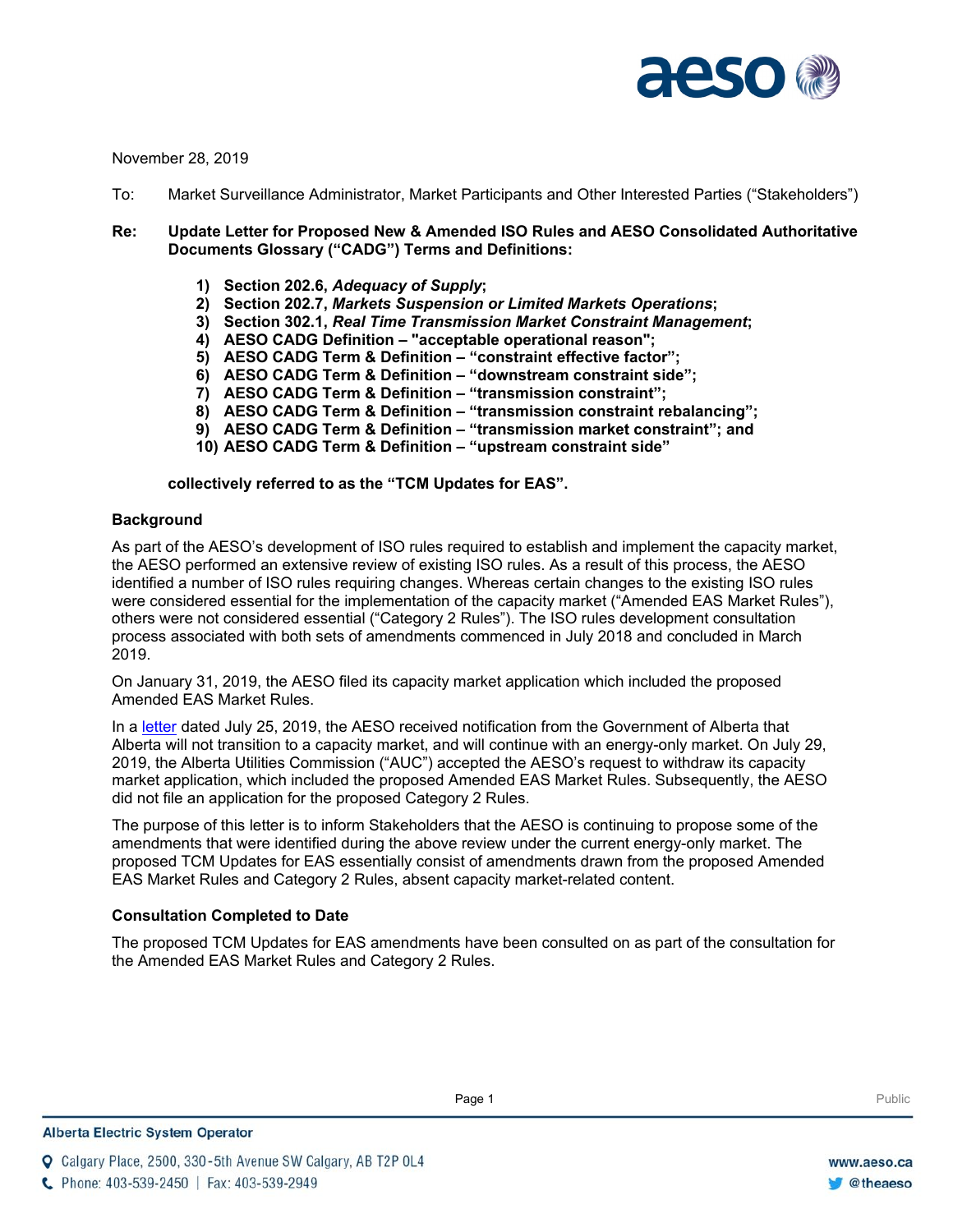

November 28, 2019

To: Market Surveillance Administrator, Market Participants and Other Interested Parties ("Stakeholders")

## **Re: Update Letter for Proposed New & Amended ISO Rules and AESO Consolidated Authoritative Documents Glossary ("CADG") Terms and Definitions:**

- **1) Section 202.6,** *Adequacy of Supply***;**
- **2) Section 202.7,** *Markets Suspension or Limited Markets Operations***;**
- **3) Section 302.1,** *Real Time Transmission Market Constraint Management***;**
- **4) AESO CADG Definition – "acceptable operational reason";**
- **5) AESO CADG Term & Definition – "constraint effective factor";**
- **6) AESO CADG Term & Definition – "downstream constraint side";**
- **7) AESO CADG Term & Definition – "transmission constraint";**
- **8) AESO CADG Term & Definition – "transmission constraint rebalancing";**
- **9) AESO CADG Term & Definition – "transmission market constraint"; and**
- **10) AESO CADG Term & Definition – "upstream constraint side"**

**collectively referred to as the "TCM Updates for EAS".**

#### **Background**

As part of the AESO's development of ISO rules required to establish and implement the capacity market, the AESO performed an extensive review of existing ISO rules. As a result of this process, the AESO identified a number of ISO rules requiring changes. Whereas certain changes to the existing ISO rules were considered essential for the implementation of the capacity market ("Amended EAS Market Rules"), others were not considered essential ("Category 2 Rules"). The ISO rules development consultation process associated with both sets of amendments commenced in July 2018 and concluded in March 2019.

On January 31, 2019, the AESO filed its capacity market application which included the proposed Amended EAS Market Rules.

In a [letter](https://www.aeso.ca/assets/Uploads/Alberta-Energy-Direction-to-AESO-07-25-19.pdf) dated July 25, 2019, the AESO received notification from the Government of Alberta that Alberta will not transition to a capacity market, and will continue with an energy-only market. On July 29, 2019, the Alberta Utilities Commission ("AUC") accepted the AESO's request to withdraw its capacity market application, which included the proposed Amended EAS Market Rules. Subsequently, the AESO did not file an application for the proposed Category 2 Rules.

The purpose of this letter is to inform Stakeholders that the AESO is continuing to propose some of the amendments that were identified during the above review under the current energy-only market. The proposed TCM Updates for EAS essentially consist of amendments drawn from the proposed Amended EAS Market Rules and Category 2 Rules, absent capacity market-related content.

## **Consultation Completed to Date**

The proposed TCM Updates for EAS amendments have been consulted on as part of the consultation for the Amended EAS Market Rules and Category 2 Rules.

**Q** Calgary Place, 2500, 330-5th Avenue SW Calgary, AB T2P 0L4

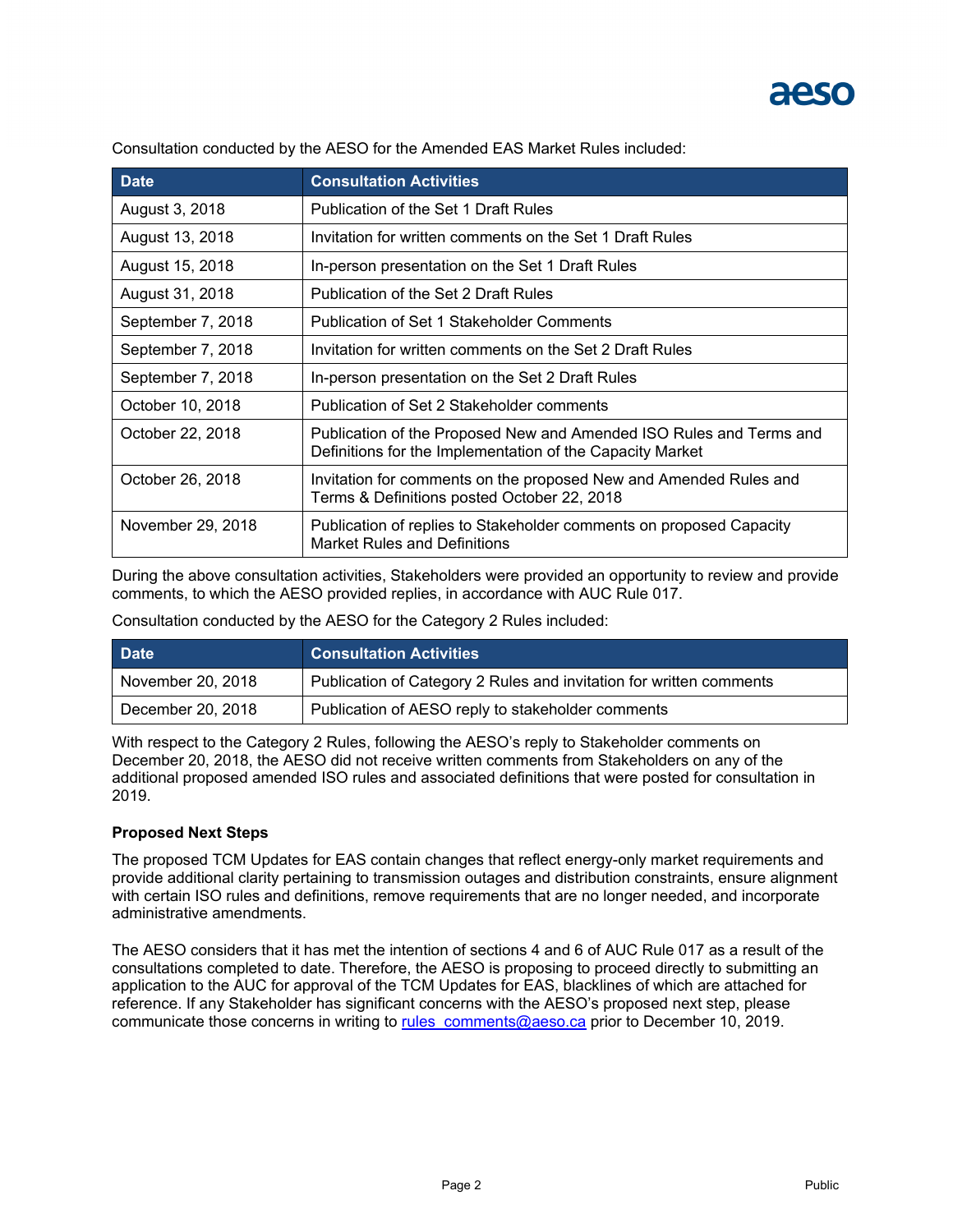

| <b>Date</b>       | <b>Consultation Activities</b>                                                                                                   |
|-------------------|----------------------------------------------------------------------------------------------------------------------------------|
| August 3, 2018    | Publication of the Set 1 Draft Rules                                                                                             |
| August 13, 2018   | Invitation for written comments on the Set 1 Draft Rules                                                                         |
| August 15, 2018   | In-person presentation on the Set 1 Draft Rules                                                                                  |
| August 31, 2018   | Publication of the Set 2 Draft Rules                                                                                             |
| September 7, 2018 | Publication of Set 1 Stakeholder Comments                                                                                        |
| September 7, 2018 | Invitation for written comments on the Set 2 Draft Rules                                                                         |
| September 7, 2018 | In-person presentation on the Set 2 Draft Rules                                                                                  |
| October 10, 2018  | Publication of Set 2 Stakeholder comments                                                                                        |
| October 22, 2018  | Publication of the Proposed New and Amended ISO Rules and Terms and<br>Definitions for the Implementation of the Capacity Market |
| October 26, 2018  | Invitation for comments on the proposed New and Amended Rules and<br>Terms & Definitions posted October 22, 2018                 |
| November 29, 2018 | Publication of replies to Stakeholder comments on proposed Capacity<br><b>Market Rules and Definitions</b>                       |

Consultation conducted by the AESO for the Amended EAS Market Rules included:

During the above consultation activities, Stakeholders were provided an opportunity to review and provide comments, to which the AESO provided replies, in accordance with AUC Rule 017.

Consultation conducted by the AESO for the Category 2 Rules included:

| <b>Date</b>       | <b>Consultation Activities</b>                                      |
|-------------------|---------------------------------------------------------------------|
| November 20, 2018 | Publication of Category 2 Rules and invitation for written comments |
| December 20, 2018 | Publication of AESO reply to stakeholder comments                   |

With respect to the Category 2 Rules, following the AESO's reply to Stakeholder comments on December 20, 2018, the AESO did not receive written comments from Stakeholders on any of the additional proposed amended ISO rules and associated definitions that were posted for consultation in 2019.

## **Proposed Next Steps**

The proposed TCM Updates for EAS contain changes that reflect energy-only market requirements and provide additional clarity pertaining to transmission outages and distribution constraints, ensure alignment with certain ISO rules and definitions, remove requirements that are no longer needed, and incorporate administrative amendments.

The AESO considers that it has met the intention of sections 4 and 6 of AUC Rule 017 as a result of the consultations completed to date. Therefore, the AESO is proposing to proceed directly to submitting an application to the AUC for approval of the TCM Updates for EAS, blacklines of which are attached for reference. If any Stakeholder has significant concerns with the AESO's proposed next step, please communicate those concerns in writing to [rules\\_comments@aeso.ca](mailto:rules_comments@aeso.ca) prior to December 10, 2019.